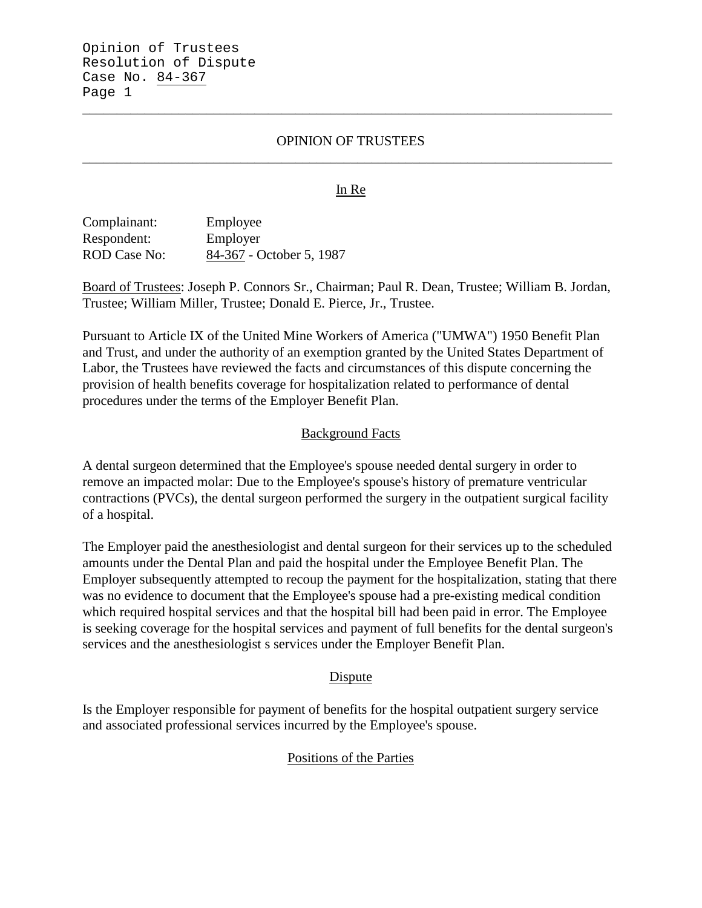# OPINION OF TRUSTEES \_\_\_\_\_\_\_\_\_\_\_\_\_\_\_\_\_\_\_\_\_\_\_\_\_\_\_\_\_\_\_\_\_\_\_\_\_\_\_\_\_\_\_\_\_\_\_\_\_\_\_\_\_\_\_\_\_\_\_\_\_\_\_\_\_\_\_\_\_\_\_\_\_\_\_\_\_

\_\_\_\_\_\_\_\_\_\_\_\_\_\_\_\_\_\_\_\_\_\_\_\_\_\_\_\_\_\_\_\_\_\_\_\_\_\_\_\_\_\_\_\_\_\_\_\_\_\_\_\_\_\_\_\_\_\_\_\_\_\_\_\_\_\_\_\_\_\_\_\_\_\_\_\_\_

### In Re

Complainant: Employee Respondent: Employer ROD Case No: 84-367 - October 5, 1987

Board of Trustees: Joseph P. Connors Sr., Chairman; Paul R. Dean, Trustee; William B. Jordan, Trustee; William Miller, Trustee; Donald E. Pierce, Jr., Trustee.

Pursuant to Article IX of the United Mine Workers of America ("UMWA") 1950 Benefit Plan and Trust, and under the authority of an exemption granted by the United States Department of Labor, the Trustees have reviewed the facts and circumstances of this dispute concerning the provision of health benefits coverage for hospitalization related to performance of dental procedures under the terms of the Employer Benefit Plan.

#### Background Facts

A dental surgeon determined that the Employee's spouse needed dental surgery in order to remove an impacted molar: Due to the Employee's spouse's history of premature ventricular contractions (PVCs), the dental surgeon performed the surgery in the outpatient surgical facility of a hospital.

The Employer paid the anesthesiologist and dental surgeon for their services up to the scheduled amounts under the Dental Plan and paid the hospital under the Employee Benefit Plan. The Employer subsequently attempted to recoup the payment for the hospitalization, stating that there was no evidence to document that the Employee's spouse had a pre-existing medical condition which required hospital services and that the hospital bill had been paid in error. The Employee is seeking coverage for the hospital services and payment of full benefits for the dental surgeon's services and the anesthesiologist s services under the Employer Benefit Plan.

#### Dispute

Is the Employer responsible for payment of benefits for the hospital outpatient surgery service and associated professional services incurred by the Employee's spouse.

# Positions of the Parties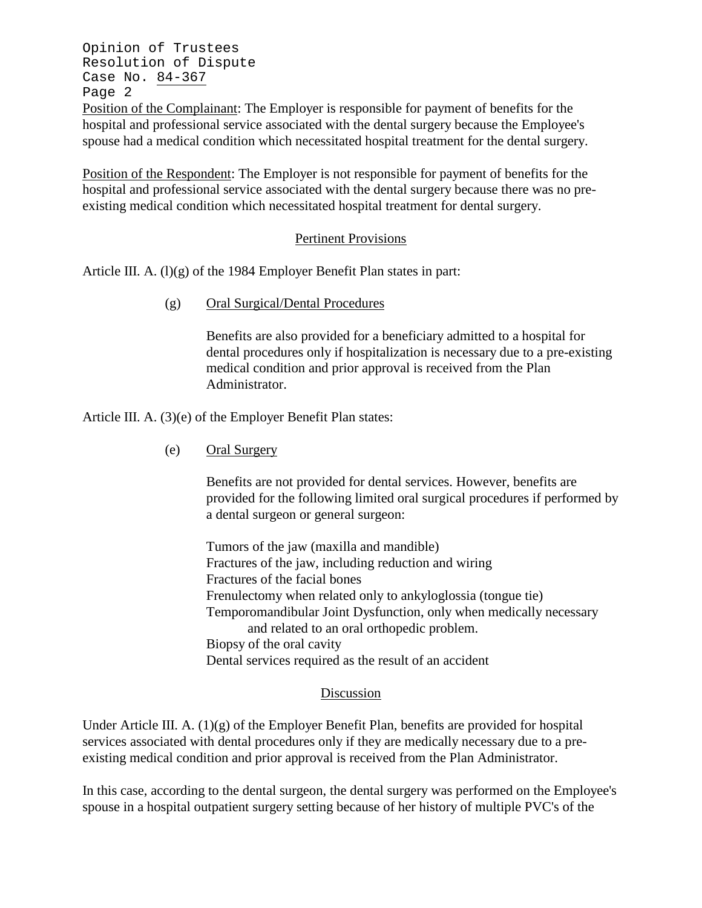Opinion of Trustees Resolution of Dispute Case No. 84-367 Page 2

Position of the Complainant: The Employer is responsible for payment of benefits for the hospital and professional service associated with the dental surgery because the Employee's spouse had a medical condition which necessitated hospital treatment for the dental surgery.

Position of the Respondent: The Employer is not responsible for payment of benefits for the hospital and professional service associated with the dental surgery because there was no preexisting medical condition which necessitated hospital treatment for dental surgery.

# Pertinent Provisions

Article III. A.  $(l)(g)$  of the 1984 Employer Benefit Plan states in part:

(g) Oral Surgical/Dental Procedures

Benefits are also provided for a beneficiary admitted to a hospital for dental procedures only if hospitalization is necessary due to a pre-existing medical condition and prior approval is received from the Plan Administrator.

Article III. A. (3)(e) of the Employer Benefit Plan states:

(e) Oral Surgery

Benefits are not provided for dental services. However, benefits are provided for the following limited oral surgical procedures if performed by a dental surgeon or general surgeon:

Tumors of the jaw (maxilla and mandible) Fractures of the jaw, including reduction and wiring Fractures of the facial bones Frenulectomy when related only to ankyloglossia (tongue tie) Temporomandibular Joint Dysfunction, only when medically necessary and related to an oral orthopedic problem. Biopsy of the oral cavity Dental services required as the result of an accident

# Discussion

Under Article III. A.  $(1)(g)$  of the Employer Benefit Plan, benefits are provided for hospital services associated with dental procedures only if they are medically necessary due to a preexisting medical condition and prior approval is received from the Plan Administrator.

In this case, according to the dental surgeon, the dental surgery was performed on the Employee's spouse in a hospital outpatient surgery setting because of her history of multiple PVC's of the